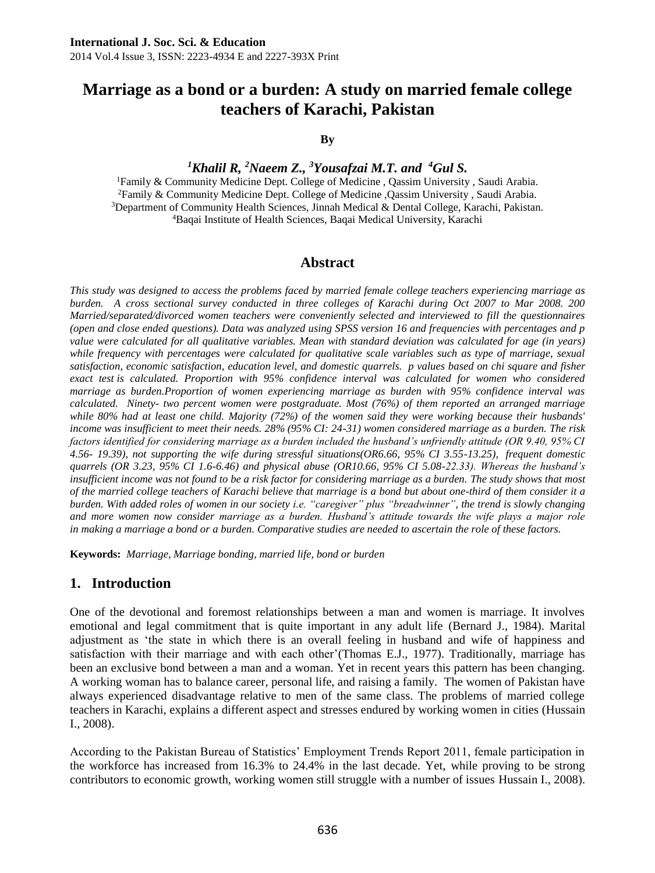# **Marriage as a bond or a burden: A study on married female college teachers of Karachi, Pakistan**

#### **By**

*<sup>1</sup>Khalil R, <sup>2</sup>Naeem Z., <sup>3</sup>Yousafzai M.T. and <sup>4</sup>Gul S.*

Family & Community Medicine Dept. College of Medicine , Qassim University , Saudi Arabia. Family & Community Medicine Dept. College of Medicine ,Qassim University , Saudi Arabia. Department of Community Health Sciences, Jinnah Medical & Dental College, Karachi, Pakistan. Baqai Institute of Health Sciences, Baqai Medical University, Karachi

#### **Abstract**

*This study was designed to access the problems faced by married female college teachers experiencing marriage as burden. A cross sectional survey conducted in three colleges of Karachi during Oct 2007 to Mar 2008. 200 Married/separated/divorced women teachers were conveniently selected and interviewed to fill the questionnaires (open and close ended questions). Data was analyzed using SPSS version 16 and frequencies with percentages and p value were calculated for all qualitative variables. Mean with standard deviation was calculated for age (in years) while frequency with percentages were calculated for qualitative scale variables such as type of marriage, sexual satisfaction, economic satisfaction, education level, and domestic quarrels. p values based on chi square and fisher exact test is calculated. Proportion with 95% confidence interval was calculated for women who considered marriage as burden.Proportion of women experiencing marriage as burden with 95% confidence interval was calculated. Ninety- two percent women were postgraduate. Most (76%) of them reported an arranged marriage while 80% had at least one child. Majority (72%) of the women said they were working because their husbands' income was insufficient to meet their needs. 28% (95% CI: 24-31) women considered marriage as a burden. The risk factors identified for considering marriage as a burden included the husband's unfriendly attitude (OR 9.40, 95% CI 4.56- 19.39), not supporting the wife during stressful situations(OR6.66, 95% CI 3.55-13.25), frequent domestic quarrels (OR 3.23, 95% CI 1.6-6.46) and physical abuse (OR10.66, 95% CI 5.08-22.33). Whereas the husband's insufficient income was not found to be a risk factor for considering marriage as a burden. The study shows that most of the married college teachers of Karachi believe that marriage is a bond but about one-third of them consider it a burden. With added roles of women in our society i.e. "caregiver" plus "breadwinner", the trend is slowly changing and more women now consider marriage as a burden. Husband's attitude towards the wife plays a major role in making a marriage a bond or a burden. Comparative studies are needed to ascertain the role of these factors.*

**Keywords:** *Marriage, Marriage bonding, married life, bond or burden*

### **1. Introduction**

One of the devotional and foremost relationships between a man and women is marriage. It involves emotional and legal commitment that is quite important in any adult life (Bernard J., 1984). Marital adjustment as 'the state in which there is an overall feeling in husband and wife of happiness and satisfaction with their marriage and with each other'(Thomas E.J., 1977). Traditionally, marriage has been an exclusive bond between a man and a woman. Yet in recent years this pattern has been changing. A working woman has to balance career, personal life, and raising a family. The women of Pakistan have always experienced disadvantage relative to men of the same class. The problems of married college teachers in Karachi, explains a different aspect and stresses endured by working women in cities (Hussain I., 2008).

According to the Pakistan Bureau of Statistics' Employment Trends Report 2011, female participation in the workforce has increased from 16.3% to 24.4% in the last decade. Yet, while proving to be strong contributors to economic growth, working women still struggle with a number of issues Hussain I., 2008).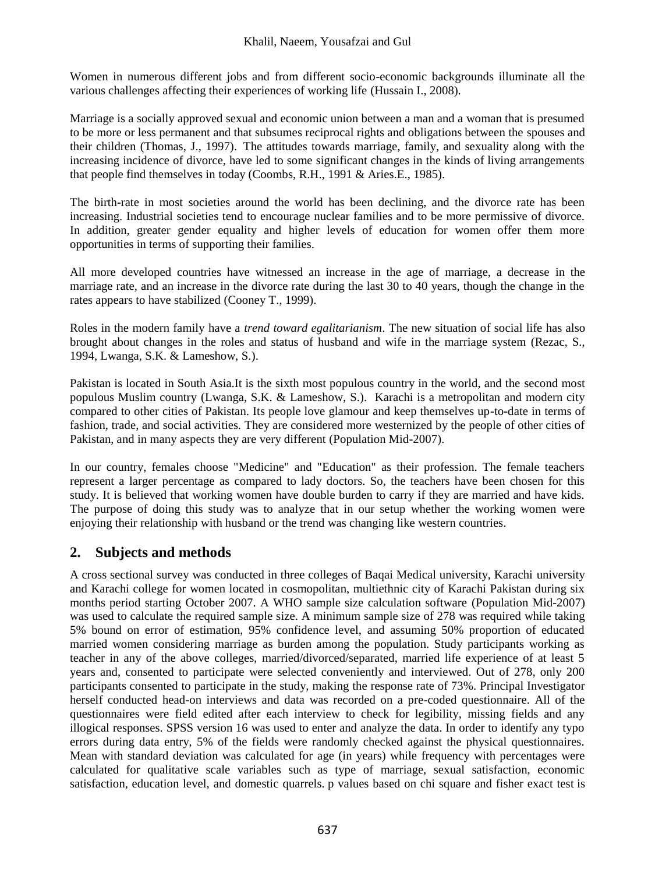Women in numerous different jobs and from different socio-economic backgrounds illuminate all the various challenges affecting their experiences of working life (Hussain I., 2008).

Marriage is a socially approved sexual and economic union between a man and a woman that is presumed to be more or less permanent and that subsumes reciprocal rights and obligations between the spouses and their children (Thomas, J., 1997). The attitudes towards marriage, family, and sexuality along with the increasing incidence of divorce, have led to some significant changes in the kinds of living arrangements that people find themselves in today (Coombs, R.H., 1991 & Aries.E., 1985).

The birth-rate in most societies around the world has been declining, and the divorce rate has been increasing. Industrial societies tend to encourage nuclear families and to be more permissive of divorce. In addition, greater gender equality and higher levels of education for women offer them more opportunities in terms of supporting their families.

All more developed countries have witnessed an increase in the age of marriage, a decrease in the marriage rate, and an increase in the divorce rate during the last 30 to 40 years, though the change in the rates appears to have stabilized (Cooney T., 1999).

Roles in the modern family have a *trend toward egalitarianism*. The new situation of social life has also brought about changes in the roles and status of husband and wife in the marriage system (Rezac, S., 1994, Lwanga, S.K. & Lameshow, S.).

Pakistan is located in South Asia.It is the sixth most populous country in the world, and the second most populous Muslim country (Lwanga, S.K. & Lameshow, S.). Karachi is a metropolitan and modern city compared to other cities of Pakistan. Its people love glamour and keep themselves up-to-date in terms of fashion, trade, and social activities. They are considered more westernized by the people of other cities of Pakistan, and in many aspects they are very different (Population Mid-2007).

In our country, females choose "Medicine" and "Education" as their profession. The female teachers represent a larger percentage as compared to lady doctors. So, the teachers have been chosen for this study. It is believed that working women have double burden to carry if they are married and have kids. The purpose of doing this study was to analyze that in our setup whether the working women were enjoying their relationship with husband or the trend was changing like western countries.

# **2. Subjects and methods**

A cross sectional survey was conducted in three colleges of Baqai Medical university, Karachi university and Karachi college for women located in cosmopolitan, multiethnic city of Karachi Pakistan during six months period starting October 2007. A WHO sample size calculation software (Population Mid-2007) was used to calculate the required sample size. A minimum sample size of 278 was required while taking 5% bound on error of estimation, 95% confidence level, and assuming 50% proportion of educated married women considering marriage as burden among the population. Study participants working as teacher in any of the above colleges, married/divorced/separated, married life experience of at least 5 years and, consented to participate were selected conveniently and interviewed. Out of 278, only 200 participants consented to participate in the study, making the response rate of 73%. Principal Investigator herself conducted head-on interviews and data was recorded on a pre-coded questionnaire. All of the questionnaires were field edited after each interview to check for legibility, missing fields and any illogical responses. SPSS version 16 was used to enter and analyze the data. In order to identify any typo errors during data entry, 5% of the fields were randomly checked against the physical questionnaires. Mean with standard deviation was calculated for age (in years) while frequency with percentages were calculated for qualitative scale variables such as type of marriage, sexual satisfaction, economic satisfaction, education level, and domestic quarrels. p values based on chi square and fisher exact test is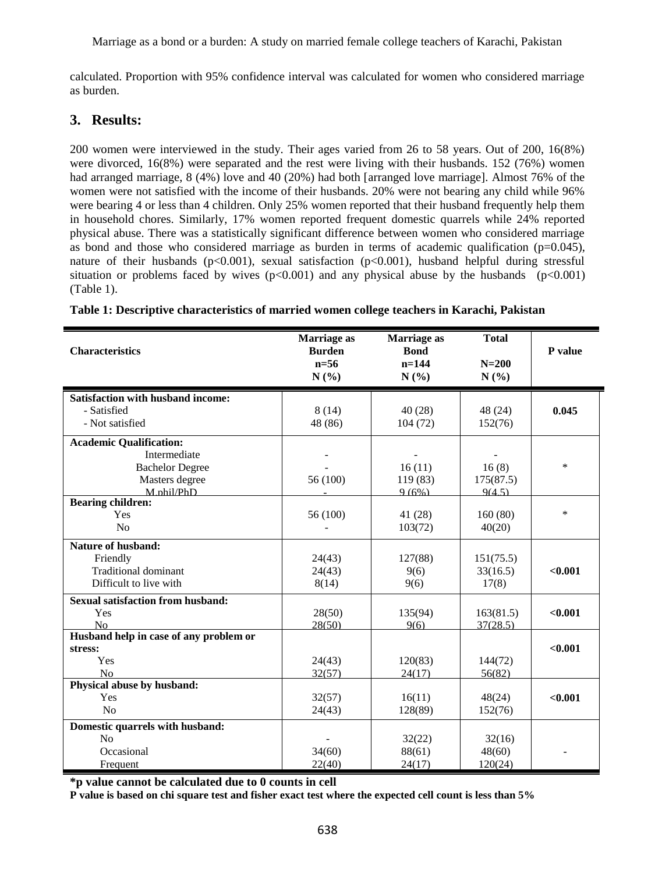calculated. Proportion with 95% confidence interval was calculated for women who considered marriage as burden.

### **3. Results:**

200 women were interviewed in the study. Their ages varied from 26 to 58 years. Out of 200, 16(8%) were divorced, 16(8%) were separated and the rest were living with their husbands. 152 (76%) women had arranged marriage, 8 (4%) love and 40 (20%) had both [arranged love marriage]. Almost 76% of the women were not satisfied with the income of their husbands. 20% were not bearing any child while 96% were bearing 4 or less than 4 children. Only 25% women reported that their husband frequently help them in household chores. Similarly, 17% women reported frequent domestic quarrels while 24% reported physical abuse. There was a statistically significant difference between women who considered marriage as bond and those who considered marriage as burden in terms of academic qualification ( $p=0.045$ ), nature of their husbands (p<0.001), sexual satisfaction (p<0.001), husband helpful during stressful situation or problems faced by wives  $(p<0.001)$  and any physical abuse by the husbands  $(p<0.001)$ (Table 1).

| <b>Characteristics</b>                                  | Marriage as<br><b>Burden</b><br>$n=56$<br>N(%) | Marriage as<br><b>Bond</b><br>$n = 144$<br>N(%) | <b>Total</b><br>$N=200$<br>N(%) | P value |
|---------------------------------------------------------|------------------------------------------------|-------------------------------------------------|---------------------------------|---------|
| <b>Satisfaction with husband income:</b><br>- Satisfied | 8(14)                                          | 40(28)                                          |                                 | 0.045   |
| - Not satisfied                                         | 48 (86)                                        | 104(72)                                         | 48 (24)<br>152(76)              |         |
| <b>Academic Qualification:</b>                          |                                                |                                                 |                                 |         |
| Intermediate                                            |                                                |                                                 |                                 |         |
| <b>Bachelor Degree</b>                                  |                                                | 16(11)                                          | 16(8)                           | $\ast$  |
| Masters degree                                          | 56 (100)                                       | 119 (83)                                        | 175(87.5)                       |         |
| M.phil/PhD                                              |                                                | 9(6%)                                           | 9(4.5)                          |         |
| <b>Bearing children:</b>                                |                                                |                                                 |                                 | $\ast$  |
| Yes                                                     | 56 (100)                                       | 41 (28)                                         | 160(80)                         |         |
| N <sub>0</sub>                                          |                                                | 103(72)                                         | 40(20)                          |         |
| Nature of husband:                                      |                                                |                                                 |                                 |         |
| Friendly                                                | 24(43)                                         | 127(88)                                         | 151(75.5)                       |         |
| <b>Traditional dominant</b>                             | 24(43)                                         | 9(6)                                            | 33(16.5)                        | < 0.001 |
| Difficult to live with                                  | 8(14)                                          | 9(6)                                            | 17(8)                           |         |
| <b>Sexual satisfaction from husband:</b>                |                                                |                                                 |                                 |         |
| Yes                                                     | 28(50)                                         | 135(94)                                         | 163(81.5)                       | < 0.001 |
| N <sub>0</sub>                                          | 28(50)                                         | 9(6)                                            | 37(28.5)                        |         |
| Husband help in case of any problem or                  |                                                |                                                 |                                 |         |
| stress:                                                 |                                                |                                                 |                                 | < 0.001 |
| Yes                                                     | 24(43)                                         | 120(83)                                         | 144(72)                         |         |
| N <sub>0</sub>                                          | 32(57)                                         | 24(17)                                          | 56(82)                          |         |
| Physical abuse by husband:                              |                                                |                                                 |                                 |         |
| Yes                                                     | 32(57)                                         | 16(11)                                          | 48(24)                          | < 0.001 |
| N <sub>0</sub>                                          | 24(43)                                         | 128(89)                                         | 152(76)                         |         |
| Domestic quarrels with husband:                         |                                                |                                                 |                                 |         |
| N <sub>0</sub>                                          |                                                | 32(22)                                          | 32(16)                          |         |
| Occasional                                              | 34(60)                                         | 88(61)                                          | 48(60)                          |         |
| Frequent                                                | 22(40)                                         | 24(17)                                          | 120(24)                         |         |

|  |  |  |  |  |  |  |  | Table 1: Descriptive characteristics of married women college teachers in Karachi, Pakistan |
|--|--|--|--|--|--|--|--|---------------------------------------------------------------------------------------------|
|--|--|--|--|--|--|--|--|---------------------------------------------------------------------------------------------|

**\*p value cannot be calculated due to 0 counts in cell**

**P value is based on chi square test and fisher exact test where the expected cell count is less than 5%**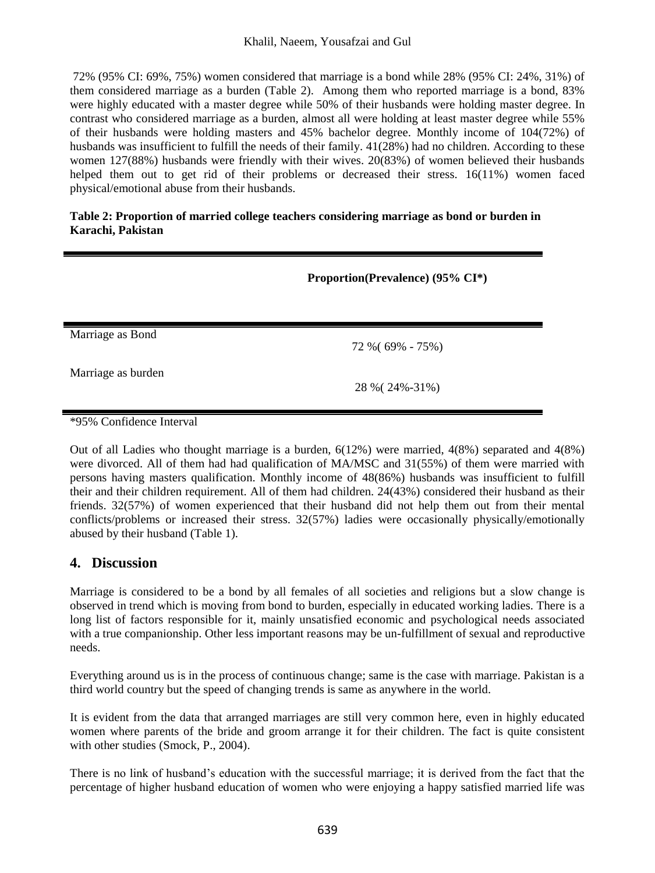72% (95% CI: 69%, 75%) women considered that marriage is a bond while 28% (95% CI: 24%, 31%) of them considered marriage as a burden (Table 2). Among them who reported marriage is a bond, 83% were highly educated with a master degree while 50% of their husbands were holding master degree. In contrast who considered marriage as a burden, almost all were holding at least master degree while 55% of their husbands were holding masters and 45% bachelor degree. Monthly income of 104(72%) of husbands was insufficient to fulfill the needs of their family.  $41(28%)$  had no children. According to these women 127(88%) husbands were friendly with their wives. 20(83%) of women believed their husbands helped them out to get rid of their problems or decreased their stress. 16(11%) women faced physical/emotional abuse from their husbands.

#### **Table 2: Proportion of married college teachers considering marriage as bond or burden in Karachi, Pakistan**

|                          | Proportion(Prevalence) (95% CI*) |  |  |
|--------------------------|----------------------------------|--|--|
|                          |                                  |  |  |
| Marriage as Bond         | 72 % (69% - 75%)                 |  |  |
| Marriage as burden       | 28 % (24%-31%)                   |  |  |
| *95% Confidence Interval |                                  |  |  |

Out of all Ladies who thought marriage is a burden, 6(12%) were married, 4(8%) separated and 4(8%) were divorced. All of them had had qualification of MA/MSC and 31(55%) of them were married with persons having masters qualification. Monthly income of 48(86%) husbands was insufficient to fulfill their and their children requirement. All of them had children. 24(43%) considered their husband as their friends. 32(57%) of women experienced that their husband did not help them out from their mental conflicts/problems or increased their stress. 32(57%) ladies were occasionally physically/emotionally abused by their husband (Table 1).

# **4. Discussion**

Marriage is considered to be a bond by all females of all societies and religions but a slow change is observed in trend which is moving from bond to burden, especially in educated working ladies. There is a long list of factors responsible for it, mainly unsatisfied economic and psychological needs associated with a true companionship. Other less important reasons may be un-fulfillment of sexual and reproductive needs.

Everything around us is in the process of continuous change; same is the case with marriage. Pakistan is a third world country but the speed of changing trends is same as anywhere in the world.

It is evident from the data that arranged marriages are still very common here, even in highly educated women where parents of the bride and groom arrange it for their children. The fact is quite consistent with other studies (Smock, P., 2004).

There is no link of husband's education with the successful marriage; it is derived from the fact that the percentage of higher husband education of women who were enjoying a happy satisfied married life was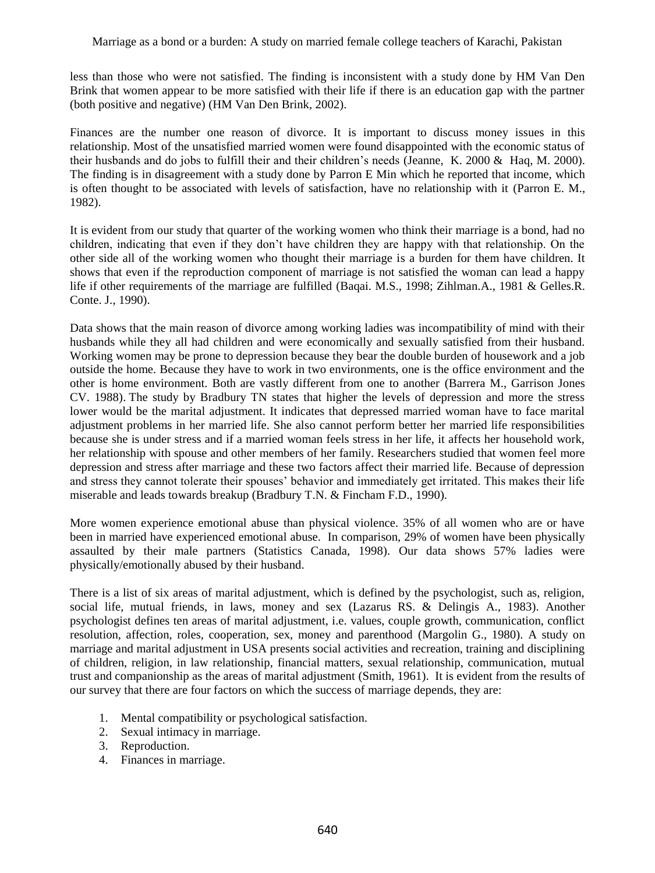less than those who were not satisfied. The finding is inconsistent with a study done by HM Van Den Brink that women appear to be more satisfied with their life if there is an education gap with the partner (both positive and negative) (HM Van Den Brink, 2002).

Finances are the number one reason of divorce. It is important to discuss money issues in this relationship. Most of the unsatisfied married women were found disappointed with the economic status of their husbands and do jobs to fulfill their and their children's needs (Jeanne, K. 2000 & Haq, M. 2000). The finding is in disagreement with a study done by Parron E Min which he reported that income, which is often thought to be associated with levels of satisfaction, have no relationship with it (Parron E. M., 1982).

It is evident from our study that quarter of the working women who think their marriage is a bond, had no children, indicating that even if they don't have children they are happy with that relationship. On the other side all of the working women who thought their marriage is a burden for them have children. It shows that even if the reproduction component of marriage is not satisfied the woman can lead a happy life if other requirements of the marriage are fulfilled (Baqai. M.S., 1998; Zihlman.A., 1981 & Gelles.R. Conte. J., 1990).

Data shows that the main reason of divorce among working ladies was incompatibility of mind with their husbands while they all had children and were economically and sexually satisfied from their husband. Working women may be prone to depression because they bear the double burden of housework and a job outside the home. Because they have to work in two environments, one is the office environment and the other is home environment. Both are vastly different from one to another (Barrera M., Garrison Jones CV. 1988). The study by Bradbury TN states that higher the levels of depression and more the stress lower would be the marital adjustment. It indicates that depressed married woman have to face marital adjustment problems in her married life. She also cannot perform better her married life responsibilities because she is under stress and if a married woman feels stress in her life, it affects her household work, her relationship with spouse and other members of her family. Researchers studied that women feel more depression and stress after marriage and these two factors affect their married life. Because of depression and stress they cannot tolerate their spouses' behavior and immediately get irritated. This makes their life miserable and leads towards breakup (Bradbury T.N. & Fincham F.D., 1990).

More women experience emotional abuse than physical violence. 35% of all women who are or have been in married have experienced emotional abuse. In comparison, 29% of women have been physically assaulted by their male partners (Statistics Canada, 1998). Our data shows 57% ladies were physically/emotionally abused by their husband.

There is a list of six areas of marital adjustment, which is defined by the psychologist, such as, religion, social life, mutual friends, in laws, money and sex (Lazarus RS. & Delingis A., 1983). Another psychologist defines ten areas of marital adjustment, i.e. values, couple growth, communication, conflict resolution, affection, roles, cooperation, sex, money and parenthood (Margolin G., 1980). A study on marriage and marital adjustment in USA presents social activities and recreation, training and disciplining of children, religion, in law relationship, financial matters, sexual relationship, communication, mutual trust and companionship as the areas of marital adjustment (Smith, 1961). It is evident from the results of our survey that there are four factors on which the success of marriage depends, they are:

- 1. Mental compatibility or psychological satisfaction.
- 2. Sexual intimacy in marriage.
- 3. Reproduction.
- 4. Finances in marriage.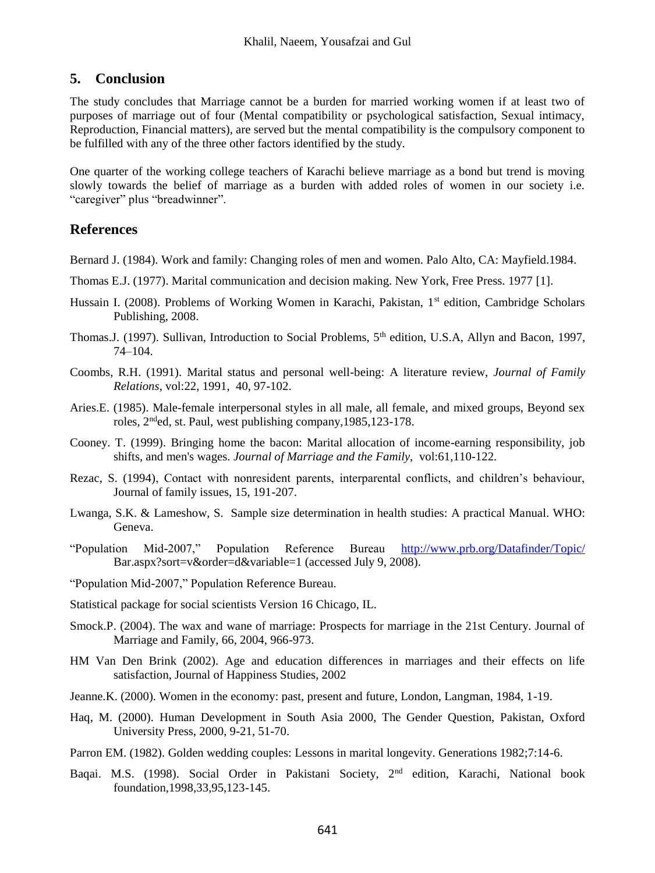### **5. Conclusion**

The study concludes that Marriage cannot be a burden for married working women if at least two of purposes of marriage out of four (Mental compatibility or psychological satisfaction, Sexual intimacy, Reproduction, Financial matters), are served but the mental compatibility is the compulsory component to be fulfilled with any of the three other factors identified by the study.

One quarter of the working college teachers of Karachi believe marriage as a bond but trend is moving slowly towards the belief of marriage as a burden with added roles of women in our society i.e. "caregiver" plus "breadwinner".

### **References**

Bernard J. (1984). Work and family: Changing roles of men and women. Palo Alto, CA: Mayfield.1984.

- Thomas E.J. (1977). Marital communication and decision making. New York, Free Press. 1977 [1].
- Hussain I. (2008). Problems of Working Women in Karachi, Pakistan, 1<sup>st</sup> edition, Cambridge Scholars Publishing, 2008.
- Thomas.J. (1997). Sullivan, Introduction to Social Problems, 5<sup>th</sup> edition, U.S.A, Allyn and Bacon, 1997, 74–104.
- Coombs, R.H. (1991). Marital status and personal well-being: A literature review, *Journal of Family Relations*, vol:22, 1991, 40, 97-102.
- Aries.E. (1985). Male-female interpersonal styles in all male, all female, and mixed groups, Beyond sex roles, 2<sup>nd</sup>ed, st. Paul, west publishing company, 1985, 123-178.
- Cooney. T. (1999). Bringing home the bacon: Marital allocation of income-earning responsibility, job shifts, and men's wages. *Journal of Marriage and the Family*, vol:61,110-122.
- Rezac, S. (1994), Contact with nonresident parents, interparental conflicts, and children's behaviour, Journal of family issues, 15, 191-207.
- Lwanga, S.K. & Lameshow, S. Sample size determination in health studies: A practical Manual. WHO: Geneva.
- "Population Mid-2007," Population Reference Bureau <http://www.prb.org/Datafinder/Topic/> Bar.aspx?sort=v&order=d&variable=1 (accessed July 9, 2008).
- "Population Mid-2007," Population Reference Bureau.
- Statistical package for social scientists Version 16 Chicago, IL.
- Smock.P. (2004). The wax and wane of marriage: Prospects for marriage in the 21st Century. Journal of Marriage and Family, 66, 2004, 966-973.
- HM Van Den Brink (2002). Age and education differences in marriages and their effects on life satisfaction, Journal of Happiness Studies, 2002
- Jeanne.K. (2000). Women in the economy: past, present and future, London, Langman, 1984, 1-19.
- Haq, M. (2000). Human Development in South Asia 2000, The Gender Question, Pakistan, Oxford University Press, 2000, 9-21, 51-70.
- Parron EM. (1982). Golden wedding couples: Lessons in marital longevity. Generations 1982;7:14-6.
- Baqai. M.S. (1998). Social Order in Pakistani Society, 2<sup>nd</sup> edition, Karachi, National book foundation,1998,33,95,123-145.